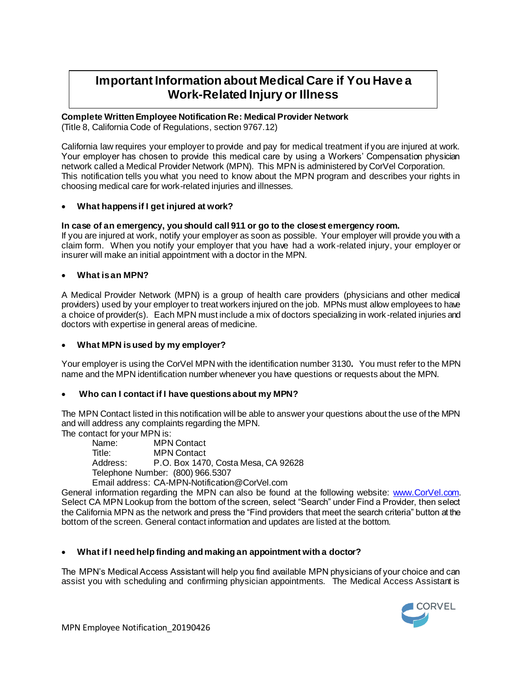# **Important Information about Medical Care if You Have a Work-Related Injury or Illness**

# **Complete Written Employee Notification Re: Medical Provider Network**

(Title 8, California Code of Regulations, section 9767.12)

California law requires your employer to provide and pay for medical treatment if you are injured at work. Your employer has chosen to provide this medical care by using a Workers' Compensation physician network called a Medical Provider Network (MPN). This MPN is administered by CorVel Corporation. This notification tells you what you need to know about the MPN program and describes your rights in choosing medical care for work-related injuries and illnesses.

# **What happens if I get injured at work?**

# **In case of an emergency, you should call 911 or go to the closest emergency room.**

If you are injured at work, notify your employer as soon as possible. Your employer will provide you with a claim form. When you notify your employer that you have had a work-related injury, your employer or insurer will make an initial appointment with a doctor in the MPN.

#### **What is an MPN?**

A Medical Provider Network (MPN) is a group of health care providers (physicians and other medical providers) used by your employer to treat workers injured on the job. MPNs must allow employees to have a choice of provider(s). Each MPN must include a mix of doctors specializing in work-related injuries and doctors with expertise in general areas of medicine.

# **What MPN is used by my employer?**

Your employer is using the CorVel MPN with the identification number 3130**.** You must refer to the MPN name and the MPN identification number whenever you have questions or requests about the MPN.

# **Who can I contact if I have questions about my MPN?**

The MPN Contact listed in this notification will be able to answer your questions about the use of the MPN and will address any complaints regarding the MPN.

The contact for your MPN is:

Name: MPN Contact Title: MPN Contact Address: P.O. Box 1470, Costa Mesa, CA 92628 Telephone Number: (800) 966.5307 Email address: CA-MPN-Notification@CorVel.com

General information regarding the MPN can also be found at the following website: [www.CorVel.com.](http://www.corvel.com/) Select CA MPN Lookup from the bottom of the screen, select "Search" under Find a Provider, then select the California MPN as the network and press the "Find providers that meet the search criteria" button at the bottom of the screen. General contact information and updates are listed at the bottom.

# **What if I need help finding and making an appointment with a doctor?**

The MPN's Medical Access Assistant will help you find available MPN physicians of your choice and can assist you with scheduling and confirming physician appointments. The Medical Access Assistant is

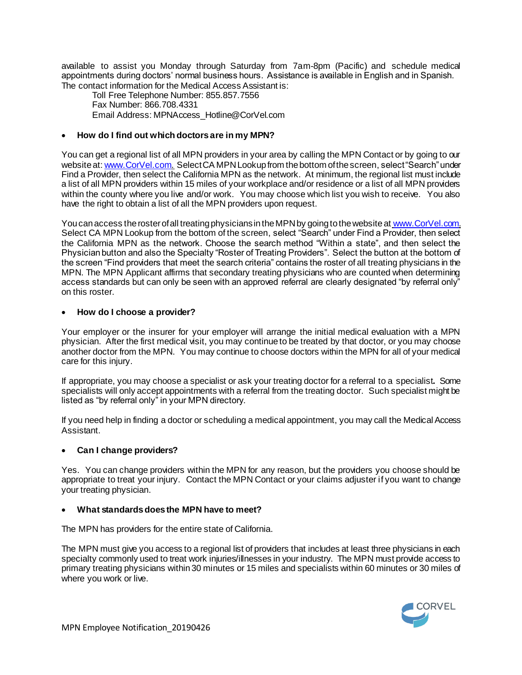available to assist you Monday through Saturday from 7am-8pm (Pacific) and schedule medical appointments during doctors' normal business hours. Assistance is available in English and in Spanish. The contact information for the Medical Access Assistant is:

Toll Free Telephone Number: 855.857.7556 Fax Number: 866.708.4331 Email Address: MPNAccess\_Hotline@CorVel.com

# **How do I find out which doctors are in my MPN?**

You can get a regional list of all MPN providers in your area by calling the MPN Contact or by going to our website at[: www.CorVel.com](http://www.corvel.com/). Select CA MPN Lookup from the bottom of the screen, select "Search" under Find a Provider, then select the California MPN as the network.At minimum, the regional list must include a list of all MPN providers within 15 miles of your workplace and/or residence or a list of all MPN providers within the county where you live and/or work. You may choose which list you wish to receive. You also have the right to obtain a list of all the MPN providers upon request.

You can access the roster of all treating physicians in the MPN by going to the website at [www.CorVel.com.](http://www.corvel.com/) Select CA MPN Lookup from the bottom of the screen, select "Search" under Find a Provider, then select the California MPN as the network. Choose the search method "Within a state", and then select the Physician button and also the Specialty "Roster of Treating Providers". Select the button at the bottom of the screen "Find providers that meet the search criteria" contains the roster of all treating physicians in the MPN. The MPN Applicant affirms that secondary treating physicians who are counted when determining access standards but can only be seen with an approved referral are clearly designated "by referral only" on this roster.

# **How do I choose a provider?**

Your employer or the insurer for your employer will arrange the initial medical evaluation with a MPN physician. After the first medical visit, you may continue to be treated by that doctor, or you may choose another doctor from the MPN. You may continue to choose doctors within the MPN for all of your medical care for this injury.

If appropriate, you may choose a specialist or ask your treating doctor for a referral to a specialist**.** Some specialists will only accept appointments with a referral from the treating doctor. Such specialist might be listed as "by referral only" in your MPN directory.

If you need help in finding a doctor or scheduling a medical appointment, you may call the Medical Access Assistant.

# **Can I change providers?**

Yes. You can change providers within the MPN for any reason, but the providers you choose should be appropriate to treat your injury. Contact the MPN Contact or your claims adjuster if you want to change your treating physician.

#### **What standards does the MPN have to meet?**

The MPN has providers for the entire state of California.

The MPN must give you access to a regional list of providers that includes at least three physicians in each specialty commonly used to treat work injuries/illnesses in your industry. The MPN must provide access to primary treating physicians within 30 minutes or 15 miles and specialists within 60 minutes or 30 miles of where you work or live.

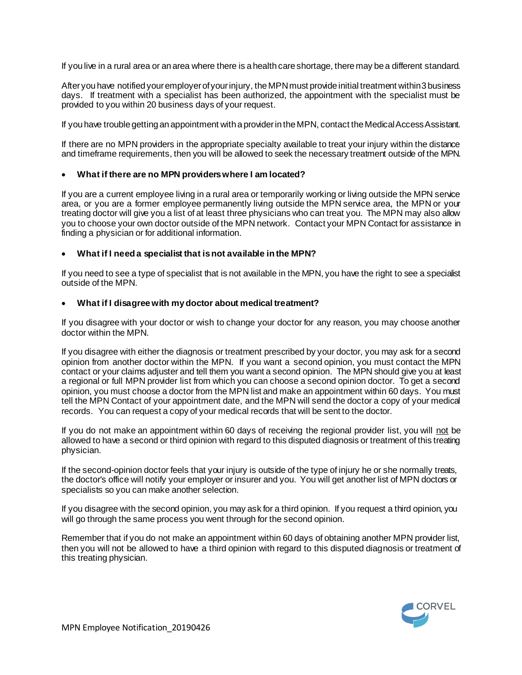If you live in a rural area or an area where there is a health care shortage, there may be a different standard.

After you have notified your employer of your injury, the MPN must provide initial treatment within 3 business days. If treatment with a specialist has been authorized, the appointment with the specialist must be provided to you within 20 business days of your request.

If you have trouble getting an appointment with a provider in the MPN, contact the Medical Access Assistant.

If there are no MPN providers in the appropriate specialty available to treat your injury within the distance and timeframe requirements, then you will be allowed to seek the necessary treatment outside of the MPN.

#### **What if there are no MPN providers where I am located?**

If you are a current employee living in a rural area or temporarily working or living outside the MPN service area, or you are a former employee permanently living outside the MPN service area, the MPN or your treating doctor will give you a list of at least three physicians who can treat you. The MPN may also allow you to choose your own doctor outside of the MPN network. Contact your MPN Contact for assistance in finding a physician or for additional information.

#### **What if I need a specialist that is not available in the MPN?**

If you need to see a type of specialist that is not available in the MPN, you have the right to see a specialist outside of the MPN.

#### **What if I disagreewith my doctor about medical treatment?**

If you disagree with your doctor or wish to change your doctor for any reason, you may choose another doctor within the MPN.

If you disagree with either the diagnosis or treatment prescribed by your doctor, you may ask for a second opinion from another doctor within the MPN. If you want a second opinion, you must contact the MPN contact or your claims adjuster and tell them you want a second opinion. The MPN should give you at least a regional or full MPN provider list from which you can choose a second opinion doctor. To get a second opinion, you must choose a doctor from the MPN list and make an appointment within 60 days. You must tell the MPN Contact of your appointment date, and the MPN will send the doctor a copy of your medical records. You can request a copy of your medical records that will be sent to the doctor.

If you do not make an appointment within 60 days of receiving the regional provider list, you will not be allowed to have a second or third opinion with regard to this disputed diagnosis or treatment of this treating physician.

If the second-opinion doctor feels that your injury is outside of the type of injury he or she normally treats, the doctor's office will notify your employer or insurer and you. You will get another list of MPN doctors or specialists so you can make another selection.

If you disagree with the second opinion, you may ask for a third opinion. If you request a third opinion, you will go through the same process you went through for the second opinion.

Remember that if you do not make an appointment within 60 days of obtaining another MPN provider list, then you will not be allowed to have a third opinion with regard to this disputed diagnosis or treatment of this treating physician.

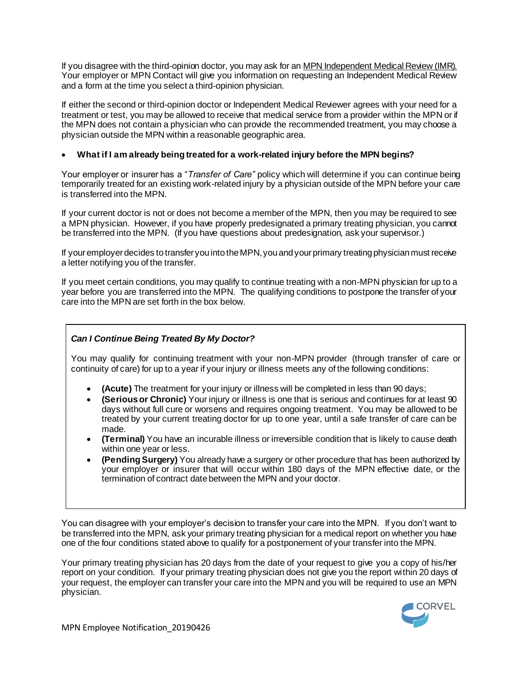If you disagree with the third-opinion doctor, you may ask for an MPN Independent Medical Review (IMR). Your employer or MPN Contact will give you information on requesting an Independent Medical Review and a form at the time you select a third-opinion physician.

If either the second or third-opinion doctor or Independent Medical Reviewer agrees with your need for a treatment or test, you may be allowed to receive that medical service from a provider within the MPN or if the MPN does not contain a physician who can provide the recommended treatment, you may choose a physician outside the MPN within a reasonable geographic area.

# **What if I am already being treated for a work-related injury before the MPN begins?**

Your employer or insurer has a "*Transfer of Care"* policy which will determine if you can continue being temporarily treated for an existing work-related injury by a physician outside of the MPN before your care is transferred into the MPN.

If your current doctor is not or does not become a member of the MPN, then you may be required to see a MPN physician. However, if you have properly predesignated a primary treating physician, you cannot be transferred into the MPN. (If you have questions about predesignation, ask your supervisor.)

If your employer decides to transfer you into the MPN, you and your primary treating physician must receive a letter notifying you of the transfer.

If you meet certain conditions, you may qualify to continue treating with a non-MPN physician for up to a year before you are transferred into the MPN. The qualifying conditions to postpone the transfer of your care into the MPN are set forth in the box below.

# *Can I Continue Being Treated By My Doctor?*

You may qualify for continuing treatment with your non-MPN provider (through transfer of care or continuity of care) for up to a year if your injury or illness meets any of the following conditions:

- **(Acute)** The treatment for your injury or illness will be completed in less than 90 days;
- **(Serious or Chronic)** Your injury or illness is one that is serious and continues for at least 90 days without full cure or worsens and requires ongoing treatment. You may be allowed to be treated by your current treating doctor for up to one year, until a safe transfer of care can be made.
- **(Terminal)** You have an incurable illness or irreversible condition that is likely to cause death within one year or less.
- **(Pending Surgery)** You already have a surgery or other procedure that has been authorized by your employer or insurer that will occur within 180 days of the MPN effective date, or the termination of contract date between the MPN and your doctor.

You can disagree with your employer's decision to transfer your care into the MPN. If you don't want to be transferred into the MPN, ask your primary treating physician for a medical report on whether you have one of the four conditions stated above to qualify for a postponement of your transfer into the MPN.

Your primary treating physician has 20 days from the date of your request to give you a copy of his/her report on your condition. If your primary treating physician does not give you the report within 20 days of your request, the employer can transfer your care into the MPN and you will be required to use an MPN physician.

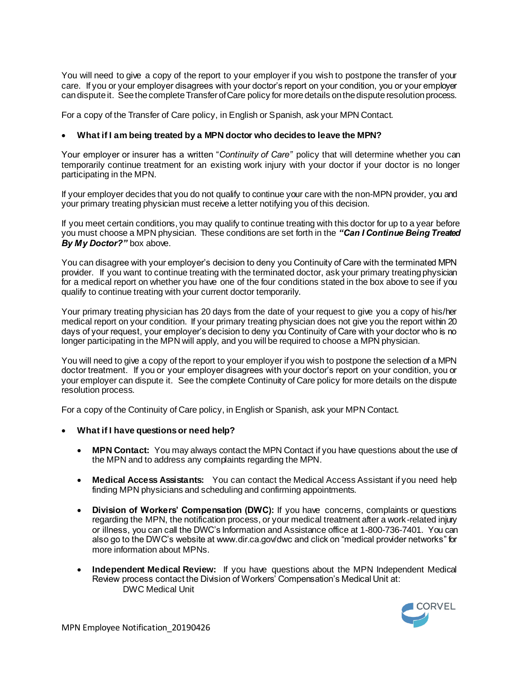You will need to give a copy of the report to your employer if you wish to postpone the transfer of your care. If you or your employer disagrees with your doctor's report on your condition, you or your employer can dispute it. See the complete Transfer of Care policy for more details on the dispute resolution process.

For a copy of the Transfer of Care policy, in English or Spanish, ask your MPN Contact.

#### **What if I am being treated by a MPN doctor who decides to leave the MPN?**

Your employer or insurer has a written "*Continuity of Care"* policy that will determine whether you can temporarily continue treatment for an existing work injury with your doctor if your doctor is no longer participating in the MPN.

If your employer decides that you do not qualify to continue your care with the non-MPN provider, you and your primary treating physician must receive a letter notifying you of this decision.

If you meet certain conditions, you may qualify to continue treating with this doctor for up to a year before you must choose a MPN physician. These conditions are set forth in the *"Can I Continue Being Treated By My Doctor?"* box above.

You can disagree with your employer's decision to deny you Continuity of Care with the terminated MPN provider. If you want to continue treating with the terminated doctor, ask your primary treating physician for a medical report on whether you have one of the four conditions stated in the box above to see if you qualify to continue treating with your current doctor temporarily.

Your primary treating physician has 20 days from the date of your request to give you a copy of his/her medical report on your condition. If your primary treating physician does not give you the report within 20 days of your request, your employer's decision to deny you Continuity of Care with your doctor who is no longer participating in the MPN will apply, and you will be required to choose a MPN physician.

You will need to give a copy of the report to your employer if you wish to postpone the selection of a MPN doctor treatment. If you or your employer disagrees with your doctor's report on your condition, you or your employer can dispute it. See the complete Continuity of Care policy for more details on the dispute resolution process.

For a copy of the Continuity of Care policy, in English or Spanish, ask your MPN Contact.

- **What if I have questions or need help?**
	- **MPN Contact:** You may always contact the MPN Contact if you have questions about the use of the MPN and to address any complaints regarding the MPN.
	- **Medical Access Assistants:** You can contact the Medical Access Assistant if you need help finding MPN physicians and scheduling and confirming appointments.
	- **Division of Workers' Compensation (DWC):** If you have concerns, complaints or questions regarding the MPN, the notification process, or your medical treatment after a work-related injury or illness, you can call the DWC's Information and Assistance office at 1-800-736-7401. You can also go to the DWC's website at www.dir.ca.gov/dwc and click on "medical provider networks" for more information about MPNs.
	- **Independent Medical Review:** If you have questions about the MPN Independent Medical Review process contact the Division of Workers' Compensation's Medical Unit at: DWC Medical Unit

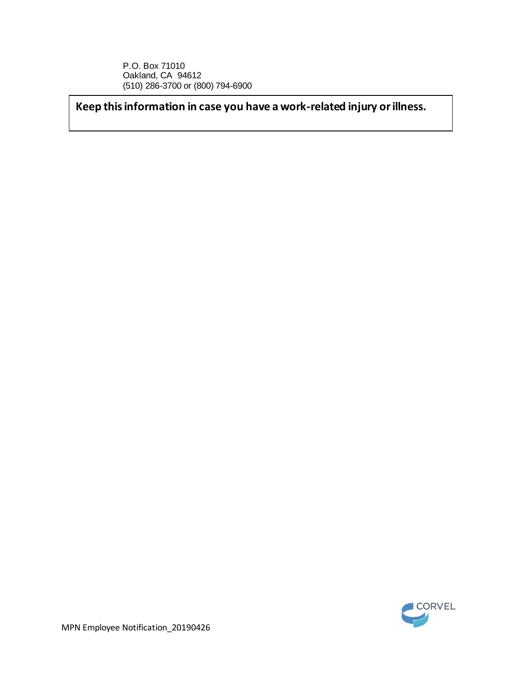P.O. Box 71010 Oakland, CA 94612 (510) 286-3700 or (800) 794-6900

**Keep this information in case you have a work-related injury or illness.**

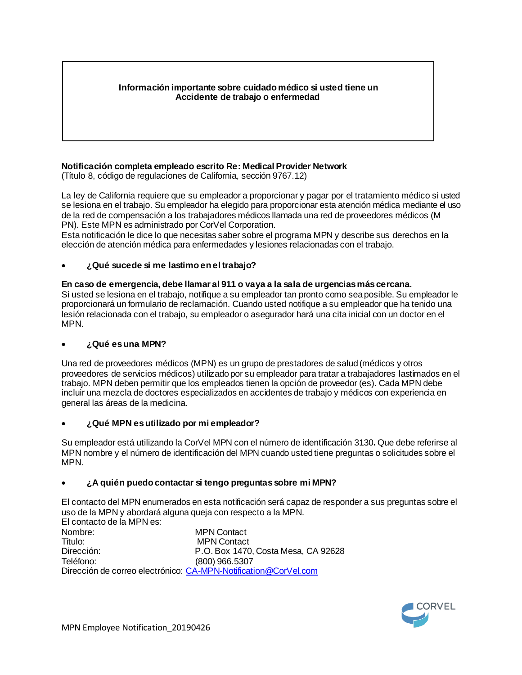# **Información importante sobre cuidado médico si usted tiene un Accidente de trabajo o enfermedad**

# **Notificación completa empleado escrito Re: Medical Provider Network**

(Título 8, código de regulaciones de California, sección 9767.12)

La ley de California requiere que su empleador a proporcionar y pagar por el tratamiento médico si usted se lesiona en el trabajo. Su empleador ha elegido para proporcionar esta atención médica mediante el uso de la red de compensación a los trabajadores médicos llamada una red de proveedores médicos (M PN). Este MPN es administrado por CorVel Corporation.

Esta notificación le dice lo que necesitas saber sobre el programa MPN y describe sus derechos en la elección de atención médica para enfermedades y lesiones relacionadas con el trabajo.

# **¿Qué sucede si me lastimo en el trabajo?**

# **En caso de emergencia, debe llamar al 911 o vaya a la sala de urgencias más cercana.**

Si usted se lesiona en el trabajo, notifique a su empleador tan pronto como sea posible. Su empleador le proporcionará un formulario de reclamación. Cuando usted notifique a su empleador que ha tenido una lesión relacionada con el trabajo, su empleador o asegurador hará una cita inicial con un doctor en el MPN.

# **¿Qué es una MPN?**

Una red de proveedores médicos (MPN) es un grupo de prestadores de salud (médicos y otros proveedores de servicios médicos) utilizado por su empleador para tratar a trabajadores lastimados en el trabajo. MPN deben permitir que los empleados tienen la opción de proveedor (es). Cada MPN debe incluir una mezcla de doctores especializados en accidentes de trabajo y médicos con experiencia en general las áreas de la medicina.

# **¿Qué MPN es utilizado por mi empleador?**

Su empleador está utilizando la CorVel MPN con el número de identificación 3130**.** Que debe referirse al MPN nombre y el número de identificación del MPN cuando usted tiene preguntas o solicitudes sobre el MPN.

# **¿A quién puedo contactar si tengo preguntas sobre mi MPN?**

El contacto del MPN enumerados en esta notificación será capaz de responder a sus preguntas sobre el uso de la MPN y abordará alguna queja con respecto a la MPN.

El contacto de la MPN es: Nombre: MPN Contact Título: MPN Contact Dirección: P.O. Box 1470, Costa Mesa, CA 92628 Teléfono: (800) 966.5307 Dirección de correo electrónico[: CA-MPN-Notification@CorVel.com](mailto:CA-MPN-Notification@CorVel.com)

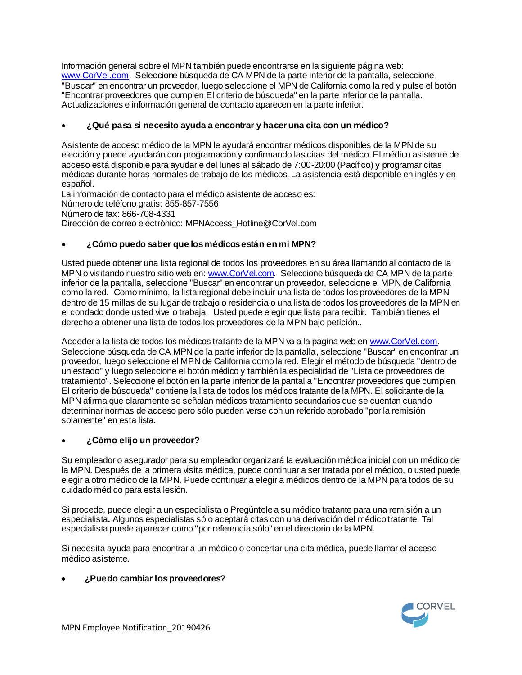Información general sobre el MPN también puede encontrarse en la siguiente página web: [www.CorVel.com](http://www.corvel.com/). Seleccione búsqueda de CA MPN de la parte inferior de la pantalla, seleccione "Buscar" en encontrar un proveedor, luego seleccione el MPN de California como la red y pulse el botón "Encontrar proveedores que cumplen El criterio de búsqueda" en la parte inferior de la pantalla. Actualizaciones e información general de contacto aparecen en la parte inferior.

# **¿Qué pasa si necesito ayuda a encontrar y hacer una cita con un médico?**

Asistente de acceso médico de la MPN le ayudará encontrar médicos disponibles de la MPN de su elección y puede ayudarán con programación y confirmando las citas del médico. El médico asistente de acceso está disponible para ayudarle del lunes al sábado de 7:00-20:00 (Pacífico) y programar citas médicas durante horas normales de trabajo de los médicos. La asistencia está disponible en inglés y en español.

La información de contacto para el médico asistente de acceso es: Número de teléfono gratis: 855-857-7556 Número de fax: 866-708-4331 Dirección de correo electrónico: MPNAccess\_Hotline@CorVel.com

# **¿Cómo puedo saber que los médicos están en mi MPN?**

Usted puede obtener una lista regional de todos los proveedores en su área llamando al contacto de la MPN o visitando nuestro sitio web en[: www.CorVel.com](http://www.corvel.com/). Seleccione búsqueda de CA MPN de la parte inferior de la pantalla, seleccione "Buscar" en encontrar un proveedor, seleccione el MPN de California como la red. Como mínimo, la lista regional debe incluir una lista de todos los proveedores de la MPN dentro de 15 millas de su lugar de trabajo o residencia o una lista de todos los proveedores de la MPN en el condado donde usted vive o trabaja. Usted puede elegir que lista para recibir. También tienes el derecho a obtener una lista de todos los proveedores de la MPN bajo petición..

Acceder a la lista de todos los médicos tratante de la MPN va a la página web en [www.CorVel.com](http://www.corvel.com/). Seleccione búsqueda de CA MPN de la parte inferior de la pantalla, seleccione "Buscar" en encontrar un proveedor, luego seleccione el MPN de California como la red. Elegir el método de búsqueda "dentro de un estado" y luego seleccione el botón médico y también la especialidad de "Lista de proveedores de tratamiento". Seleccione el botón en la parte inferior de la pantalla "Encontrar proveedores que cumplen El criterio de búsqueda" contiene la lista de todos los médicos tratante de la MPN. El solicitante de la MPN afirma que claramente se señalan médicos tratamiento secundarios que se cuentan cuando determinar normas de acceso pero sólo pueden verse con un referido aprobado "por la remisión solamente" en esta lista.

# **¿Cómo elijo un proveedor?**

Su empleador o asegurador para su empleador organizará la evaluación médica inicial con un médico de la MPN. Después de la primera visita médica, puede continuar a ser tratada por el médico, o usted puede elegir a otro médico de la MPN. Puede continuar a elegir a médicos dentro de la MPN para todos de su cuidado médico para esta lesión.

Si procede, puede elegir a un especialista o Pregúntele a su médico tratante para una remisión a un especialista**.** Algunos especialistas sólo aceptará citas con una derivación del médico tratante. Tal especialista puede aparecer como "por referencia sólo" en el directorio de la MPN.

Si necesita ayuda para encontrar a un médico o concertar una cita médica, puede llamar el acceso médico asistente.

# **¿Puedo cambiar los proveedores?**

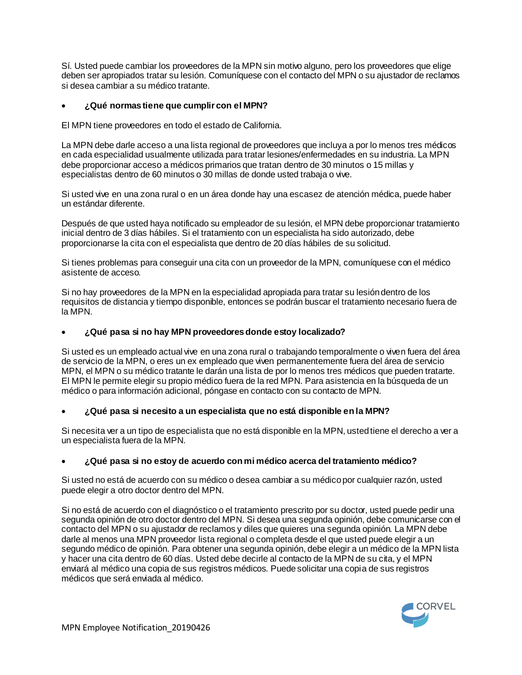Sí. Usted puede cambiar los proveedores de la MPN sin motivo alguno, pero los proveedores que elige deben ser apropiados tratar su lesión. Comuníquese con el contacto del MPN o su ajustador de reclamos si desea cambiar a su médico tratante.

# **¿Qué normas tiene que cumplir con el MPN?**

El MPN tiene proveedores en todo el estado de California.

La MPN debe darle acceso a una lista regional de proveedores que incluya a por lo menos tres médicos en cada especialidad usualmente utilizada para tratar lesiones/enfermedades en su industria. La MPN debe proporcionar acceso a médicos primarios que tratan dentro de 30 minutos o 15 millas y especialistas dentro de 60 minutos o 30 millas de donde usted trabaja o vive.

Si usted vive en una zona rural o en un área donde hay una escasez de atención médica, puede haber un estándar diferente.

Después de que usted haya notificado su empleador de su lesión, el MPN debe proporcionar tratamiento inicial dentro de 3 días hábiles. Si el tratamiento con un especialista ha sido autorizado, debe proporcionarse la cita con el especialista que dentro de 20 días hábiles de su solicitud.

Si tienes problemas para conseguir una cita con un proveedor de la MPN, comuníquese con el médico asistente de acceso.

Si no hay proveedores de la MPN en la especialidad apropiada para tratar su lesión dentro de los requisitos de distancia y tiempo disponible, entonces se podrán buscar el tratamiento necesario fuera de la MPN.

# **¿Qué pasa si no hay MPN proveedores donde estoy localizado?**

Si usted es un empleado actual vive en una zona rural o trabajando temporalmente o viven fuera del área de servicio de la MPN, o eres un ex empleado que viven permanentemente fuera del área de servicio MPN, el MPN o su médico tratante le darán una lista de por lo menos tres médicos que pueden tratarte. El MPN le permite elegir su propio médico fuera de la red MPN. Para asistencia en la búsqueda de un médico o para información adicional, póngase en contacto con su contacto de MPN.

# **¿Qué pasa si necesito a un especialista que no está disponible en la MPN?**

Si necesita ver a un tipo de especialista que no está disponible en la MPN, usted tiene el derecho a ver a un especialista fuera de la MPN.

# **¿Qué pasa si no estoy de acuerdo con mi médico acerca del tratamiento médico?**

Si usted no está de acuerdo con su médico o desea cambiar a su médico por cualquier razón, usted puede elegir a otro doctor dentro del MPN.

Si no está de acuerdo con el diagnóstico o el tratamiento prescrito por su doctor, usted puede pedir una segunda opinión de otro doctor dentro del MPN. Si desea una segunda opinión, debe comunicarse con el contacto del MPN o su ajustador de reclamos y diles que quieres una segunda opinión. La MPN debe darle al menos una MPN proveedor lista regional o completa desde el que usted puede elegir a un segundo médico de opinión. Para obtener una segunda opinión, debe elegir a un médico de la MPN lista y hacer una cita dentro de 60 días. Usted debe decirle al contacto de la MPN de su cita, y el MPN enviará al médico una copia de sus registros médicos. Puede solicitar una copia de sus registros médicos que será enviada al médico.

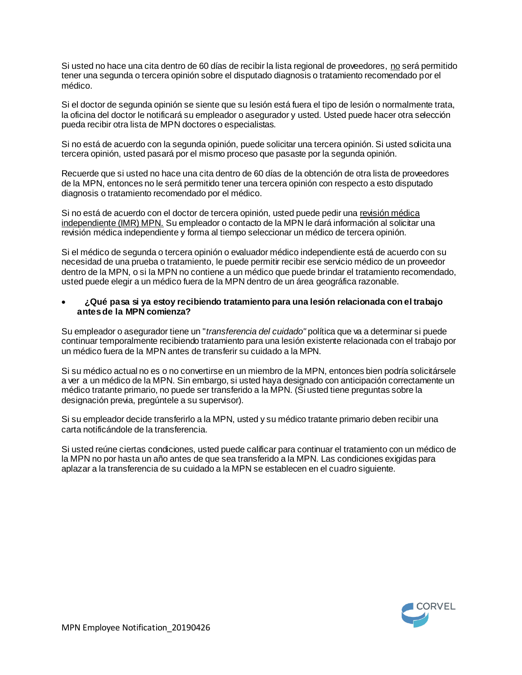Si usted no hace una cita dentro de 60 días de recibir la lista regional de proveedores, no será permitido tener una segunda o tercera opinión sobre el disputado diagnosis o tratamiento recomendado por el médico.

Si el doctor de segunda opinión se siente que su lesión está fuera el tipo de lesión o normalmente trata, la oficina del doctor le notificará su empleador o asegurador y usted. Usted puede hacer otra selección pueda recibir otra lista de MPN doctores o especialistas.

Si no está de acuerdo con la segunda opinión, puede solicitar una tercera opinión. Si usted solicita una tercera opinión, usted pasará por el mismo proceso que pasaste por la segunda opinión.

Recuerde que si usted no hace una cita dentro de 60 días de la obtención de otra lista de proveedores de la MPN, entonces no le será permitido tener una tercera opinión con respecto a esto disputado diagnosis o tratamiento recomendado por el médico.

Si no está de acuerdo con el doctor de tercera opinión, usted puede pedir una revisión médica independiente (IMR) MPN. Su empleador o contacto de la MPN le dará información al solicitar una revisión médica independiente y forma al tiempo seleccionar un médico de tercera opinión.

Si el médico de segunda o tercera opinión o evaluador médico independiente está de acuerdo con su necesidad de una prueba o tratamiento, le puede permitir recibir ese servicio médico de un proveedor dentro de la MPN, o si la MPN no contiene a un médico que puede brindar el tratamiento recomendado, usted puede elegir a un médico fuera de la MPN dentro de un área geográfica razonable.

#### **¿Qué pasa si ya estoy recibiendo tratamiento para una lesión relacionada con el trabajo antes de la MPN comienza?**

Su empleador o asegurador tiene un "*transferencia del cuidado"* política que va a determinar si puede continuar temporalmente recibiendo tratamiento para una lesión existente relacionada con el trabajo por un médico fuera de la MPN antes de transferir su cuidado a la MPN.

Si su médico actual no es o no convertirse en un miembro de la MPN, entonces bien podría solicitársele a ver a un médico de la MPN. Sin embargo, si usted haya designado con anticipación correctamente un médico tratante primario, no puede ser transferido a la MPN. (Si usted tiene preguntas sobre la designación previa, pregúntele a su supervisor).

Si su empleador decide transferirlo a la MPN, usted y su médico tratante primario deben recibir una carta notificándole de la transferencia.

Si usted reúne ciertas condiciones, usted puede calificar para continuar el tratamiento con un médico de la MPN no por hasta un año antes de que sea transferido a la MPN. Las condiciones exigidas para aplazar a la transferencia de su cuidado a la MPN se establecen en el cuadro siguiente.

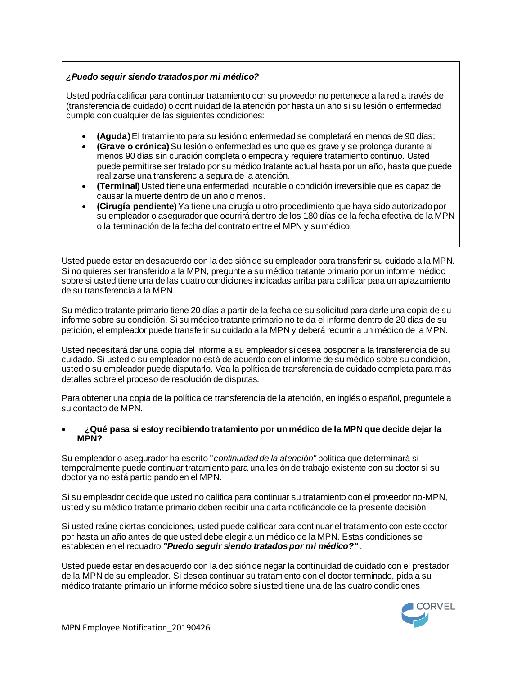# *¿Puedo seguir siendo tratados por mi médico?*

Usted podría calificar para continuar tratamiento con su proveedor no pertenece a la red a través de (transferencia de cuidado) o continuidad de la atención por hasta un año si su lesión o enfermedad cumple con cualquier de las siguientes condiciones:

- **(Aguda)**El tratamiento para su lesión o enfermedad se completará en menos de 90 días;
- **(Grave o crónica)**Su lesión o enfermedad es uno que es grave y se prolonga durante al menos 90 días sin curación completa o empeora y requiere tratamiento continuo. Usted puede permitirse ser tratado por su médico tratante actual hasta por un año, hasta que puede realizarse una transferencia segura de la atención.
- **(Terminal)**Usted tiene una enfermedad incurable o condición irreversible que es capaz de causar la muerte dentro de un año o menos.
- **(Cirugía pendiente)**Ya tiene una cirugía u otro procedimiento que haya sido autorizado por su empleador o asegurador que ocurrirá dentro de los 180 días de la fecha efectiva de la MPN o la terminación de la fecha del contrato entre el MPN y su médico.

Usted puede estar en desacuerdo con la decisión de su empleador para transferir su cuidado a la MPN. Si no quieres ser transferido a la MPN, pregunte a su médico tratante primario por un informe médico sobre si usted tiene una de las cuatro condiciones indicadas arriba para calificar para un aplazamiento de su transferencia a la MPN.

Su médico tratante primario tiene 20 días a partir de la fecha de su solicitud para darle una copia de su informe sobre su condición. Si su médico tratante primario no te da el informe dentro de 20 días de su petición, el empleador puede transferir su cuidado a la MPN y deberá recurrir a un médico de la MPN.

Usted necesitará dar una copia del informe a su empleador si desea posponer a la transferencia de su cuidado. Si usted o su empleador no está de acuerdo con el informe de su médico sobre su condición, usted o su empleador puede disputarlo. Vea la política de transferencia de cuidado completa para más detalles sobre el proceso de resolución de disputas.

Para obtener una copia de la política de transferencia de la atención, en inglés o español, preguntele a su contacto de MPN.

#### **¿Qué pasa si estoy recibiendo tratamiento por un médico de la MPN que decide dejar la MPN?**

Su empleador o asegurador ha escrito "*continuidad de la atención"* política que determinará si temporalmente puede continuar tratamiento para una lesión de trabajo existente con su doctor si su doctor ya no está participando en el MPN.

Si su empleador decide que usted no califica para continuar su tratamiento con el proveedor no-MPN, usted y su médico tratante primario deben recibir una carta notificándole de la presente decisión.

Si usted reúne ciertas condiciones, usted puede calificar para continuar el tratamiento con este doctor por hasta un año antes de que usted debe elegir a un médico de la MPN. Estas condiciones se establecen en el recuadro *"Puedo seguir siendo tratados por mi médico?"* .

Usted puede estar en desacuerdo con la decisión de negar la continuidad de cuidado con el prestador de la MPN de su empleador. Si desea continuar su tratamiento con el doctor terminado, pida a su médico tratante primario un informe médico sobre si usted tiene una de las cuatro condiciones